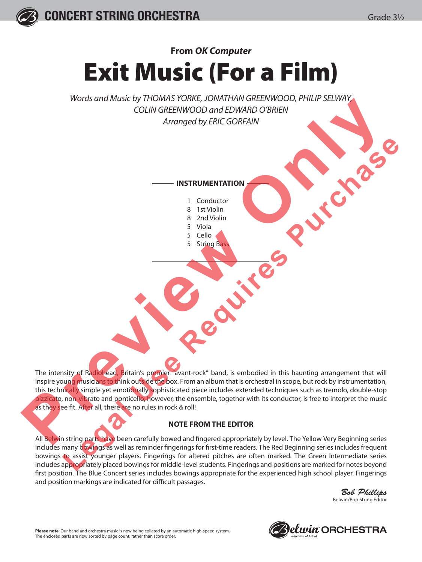

# **From** *OK Computer* Exit Music (For a Film)

*Words and Music by THOMAS YORKE, JONATHAN GREENWOOD, PHILIP SELWAY, COLIN GREENWOOD and EDWARD O'BRIEN Arranged by ERIC GORFAIN*



- 1 Conductor
- 8 1st Violin
- 8 2nd Violin
- 5 Viola
- 5 Cello
- 5 String Bas

The intensity of Radiohead, Britain's premier "avant-rock" band, is embodied in this haunting arrangement that will inspire young musicians to think outside the box. From an album that is orchestral in scope, but rock by instrumentation, this technically simple yet emotionally sophisticated piece includes extended techniques such as tremolo, double-stop pizzicato, non-vibrato and ponticello; however, the ensemble, together with its conductor, is free to interpret the music as they see fit. After all, there are no rules in rock & roll! Final Washer of the Mariam Street Collin GREENWOOD and EDWARD O'BRIEN<br>
Arranged by ERIC GORFAIN<br>
Arranged by ERIC GORFAIN<br>
Final Washer<br>
Final Washer of the Collin GREENWOOD and EDWARD O'BRIEN<br>
Final Washer<br>
Final Washer o Legal Use Requires the Apple of the Conductor<br>
Legal Use Requires Purchase Regulation of the Conductor<br>
Legal Use Requires Purchase Regulation of the Conduction<br>
Subsequently and the Conduct Conduct Conduct Conduct Conduct

### **NOTE FROM THE EDITOR**

All Belwin string parts have been carefully bowed and fingered appropriately by level. The Yellow Very Beginning series includes many bowings as well as reminder fingerings for first-time readers. The Red Beginning series includes frequent bowings to assist younger players. Fingerings for altered pitches are often marked. The Green Intermediate series includes appropriately placed bowings for middle-level students. Fingerings and positions are marked for notes beyond first position. The Blue Concert series includes bowings appropriate for the experienced high school player. Fingerings and position markings are indicated for difficult passages.

> *Bob Phillips* Belwin/Pop String Editor

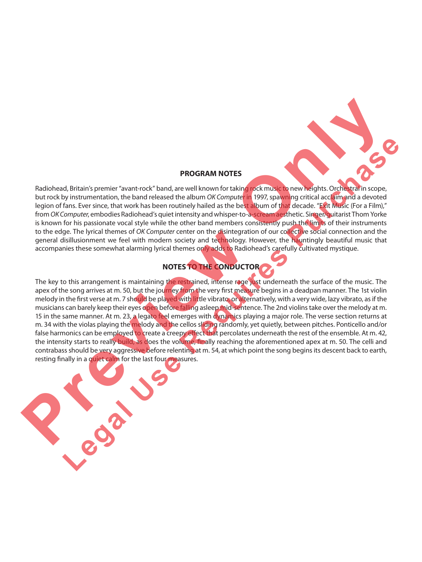

#### **PROGRAM NOTES**

Radiohead, Britain's premier "avant-rock" band, are well known for taking rock music to new heights. Orchestral in scope, but rock by instrumentation, the band released the album *OK Computer* in 1997, spawning critical acclaim and a devoted legion of fans. Ever since, that work has been routinely hailed as the best album of that decade. "Exit Music (For a Film)," from *OK Computer*, embodies Radiohead's quiet intensity and whisper-to-a-scream aesthetic. Singer/guitarist Thom Yorke is known for his passionate vocal style while the other band members consistently push the limits of their instruments to the edge. The lyrical themes of *OK Computer* center on the disintegration of our collective social connection and the general disillusionment we feel with modern society and technology. However, the hauntingly beautiful music that accompanies these somewhat alarming lyrical themes only adds to Radiohead's carefully cultivated mystique.

## **NOTES TO THE CONDUCTOR**

The key to this arrangement is maintaining the restrained, intense rage just underneath the surface of the music. The apex of the song arrives at m. 50, but the journey from the very first measure begins in a deadpan manner. The 1st violin melody in the first verse at m. 7 should be played with little vibrato, or alternatively, with a very wide, lazy vibrato, as if the musicians can barely keep their eyes open before falling asleep mid-sentence. The 2nd violins take over the melody at m. 15 in the same manner. At m. 23, a legato feel emerges with dynamics playing a major role. The verse section returns at m. 34 with the violas playing the melody and the cellos sliding randomly, yet quietly, between pitches. Ponticello and/or false harmonics can be employed to create a creepy effect that percolates underneath the rest of the ensemble. At m. 42, the intensity starts to really build, as does the volume, finally reaching the aforementioned apex at m. 50. The celli and contrabass should be very aggressive before relenting at m. 54, at which point the song begins its descent back to earth, resting finally in a quiet calm for the last four measures. **PROGRAM NOTES**<br>
Redicheed, Britain's premier "want rock 'band, are well known for taking moking to mean heghts. Orginary in sope<br>
better of the most pressure that a better of the most computer in 1997, pape in gradient fr **Legal Use And Constrainer (Source A)**<br> **Legal Use And Accord Constrainer (Source A)**<br>
Construction the band dietasta the absorption of Constrainer (SPS) and Constrainer (SPS)<br>
Constrainer and Constrainer (SPS) and Constra

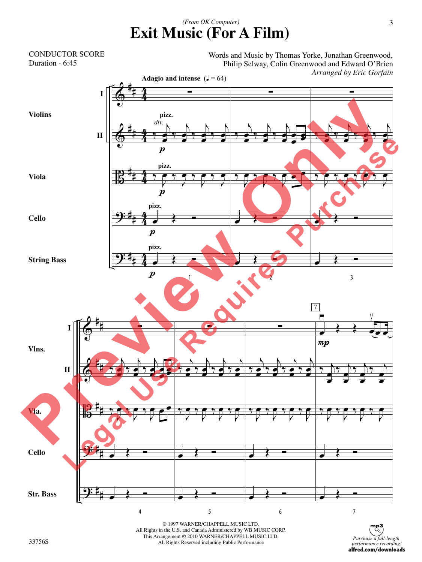## **Exit Music (For A Film)** *(From OK Computer)*



All Rights Reserved including Public Performance

Purchase a full-length<br>performance recording!<br>**alfred.com/downloads**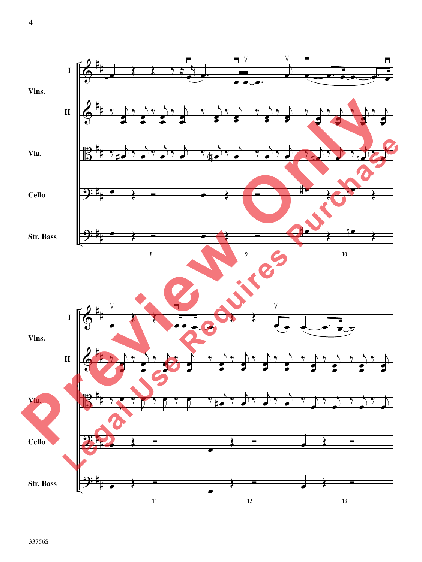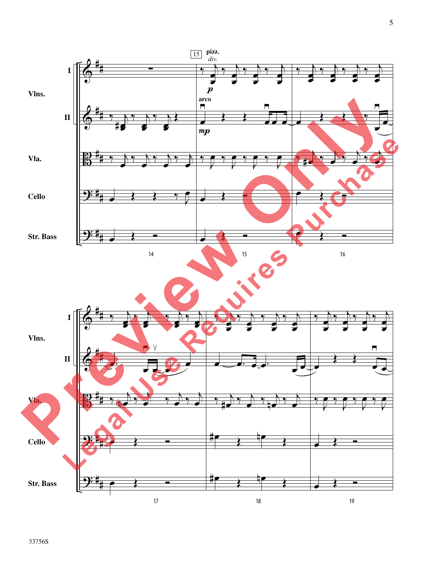

5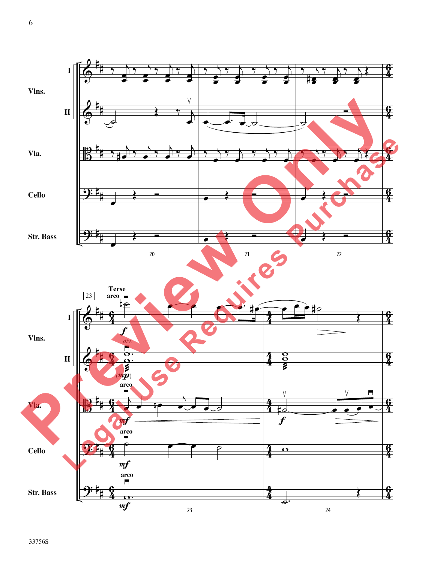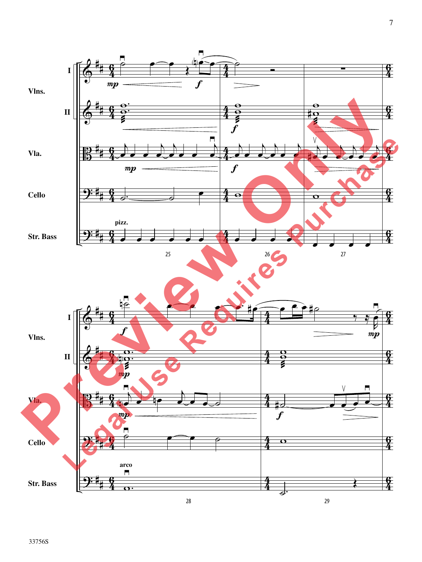

7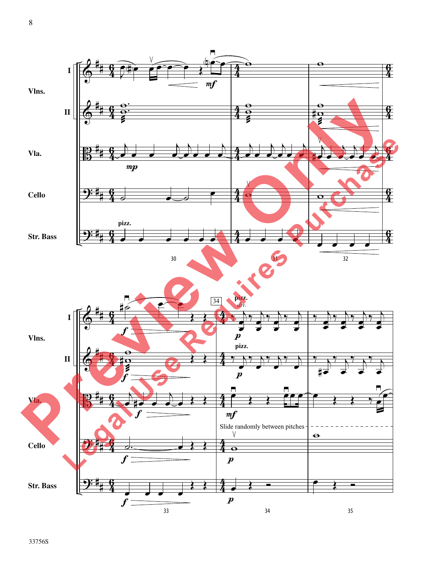

33756S

8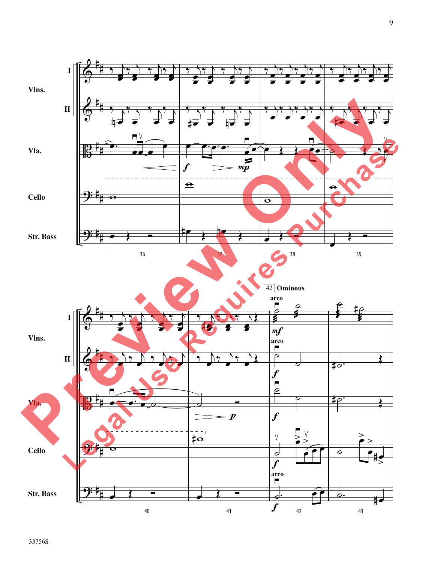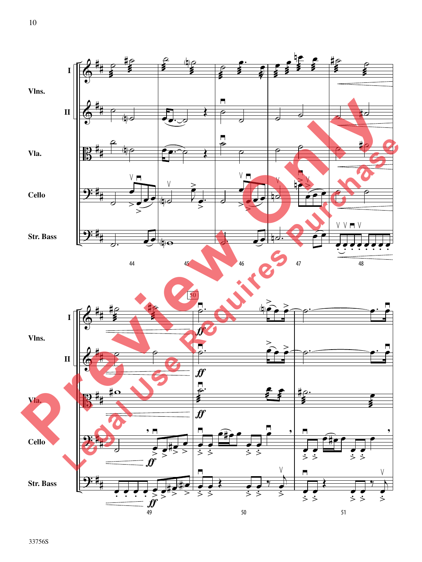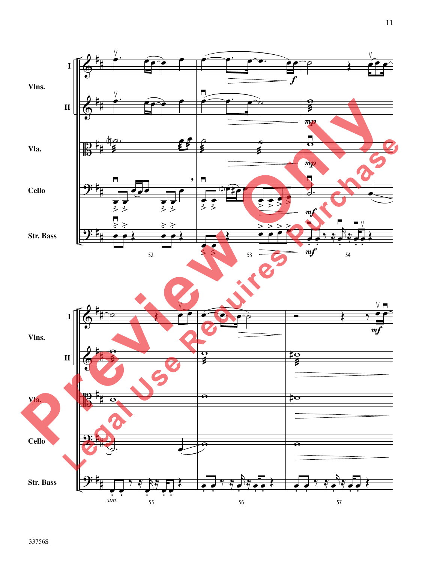